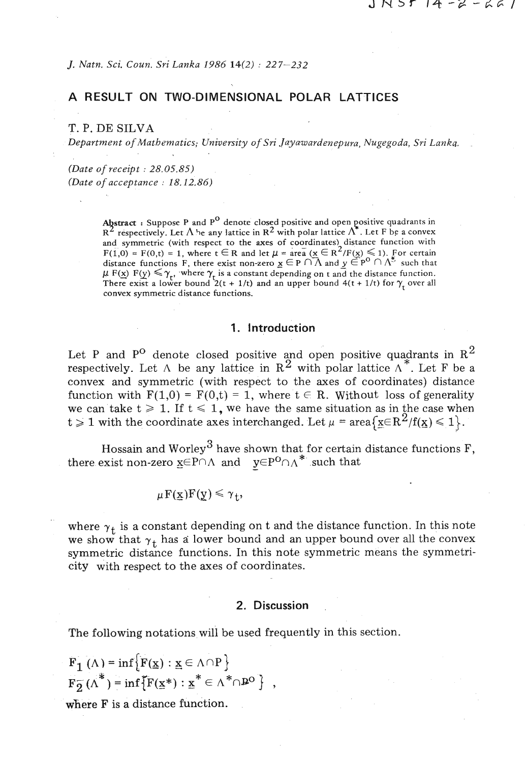*J. Natn. Sci. Coun. Sri Lanka 1986 14(2)* : *227-232* 

# **A RESULT ON TWO-DIMENSIONAL POLAR LATTICES**

T. P. DE SILVA

*Department* **of** *Mathematics; University* **of** *Sri Jayawardenepura, Nugegoda, Sri Lanka.* 

*(Date of receipt* : *28.05.85) (Date of acceptance* : *18.12.86)* 

> **Abstract** : Suppose P and P<sup>O</sup> denote closed positive and open positive quadrants in  $R^2$  respectively. Let  $\Lambda$  be any lattice in  $R^2$  with polar lattice  $\Lambda^*$ . Let F be a convex and symmetric (with respect to the axes of coordinates) distance function with F(1,0) = F(0,t) = 1, where  $t \in R$  and let  $\mu = \text{area } (\mathbf{x} \in R^2/F(\mathbf{x}) \leq 1)$ . For certain distance functions F, there exist non-zero  $\underline{x} \in P \cap \overline{\Lambda}$  and  $\underline{y} \in P^{\circ} \cap \Lambda^*$  such that distance functions **F**, there exist non-zero  $\underline{x} \in P \cup \Lambda$  and  $\underline{y} \in P \cup \Lambda'$  such that  $\mu$  **F**( $\underline{x}$ ) **F**( $\underline{y}$ )  $\leq \gamma_r$ , where  $\gamma_r$  is a constant depending on t and the distance function. There exist a lower bound  $2(t + 1/t)$  and an upper bound  $4(t + 1/t)$  for  $\gamma_t$  over all convex symmetric distance functions.

#### 1. Introduction

Let P and P<sup>O</sup> denote closed positive and open positive quadrants in  $\mathrm{R}^2$ respectively. Let  $\Lambda$  be any lattice in  $\mathbb{R}^2$  with polar lattice  $\Lambda^*$ . Let F be a convex and symmetric (with respect to the axes of coordinates) distance function with  $F(1,0) = F(0,t) = 1$ , where  $t \in R$ . Without loss of generality we can take  $t \ge 1$ . If  $t \le 1$ , we have the same situation as in the case when  $t \geq 1$  with the coordinate axes interchanged. Let  $\mu = \text{area}\{\mathbf{x} \in \mathbb{R}^2/\mathbf{f}(\mathbf{x}) \leq 1\}$ .

Hossain and Worley<sup>3</sup> have shown that for certain distance functions  $F$ , there exist non-zero  $x \in P \cap \Lambda$  and  $y \in P^0 \cap \Lambda^*$  such that

$$
\mu F(\underline{x})F(\underline{y}) \leq \gamma_{+},
$$

where  $\gamma_t$  is a constant depending on t and the distance function. In this note we show that  $\gamma_t$  has a lower bound and an upper bound over all the convex symmetric distance functions. In this note symmetric means the symmetricity with respect to the axes of coordinates.

#### **2. Discussion**

The following notations will be used frequently in this section.

$$
F_1(\Lambda) = \inf \{ F(\underline{x}) : \underline{x} \in \Lambda \cap P \}
$$
  
\n
$$
F_2(\Lambda^*) = \inf \{ F(\underline{x}^*) : \underline{x}^* \in \Lambda^* \cap P^0 \},
$$

where  $F$  is a distance function.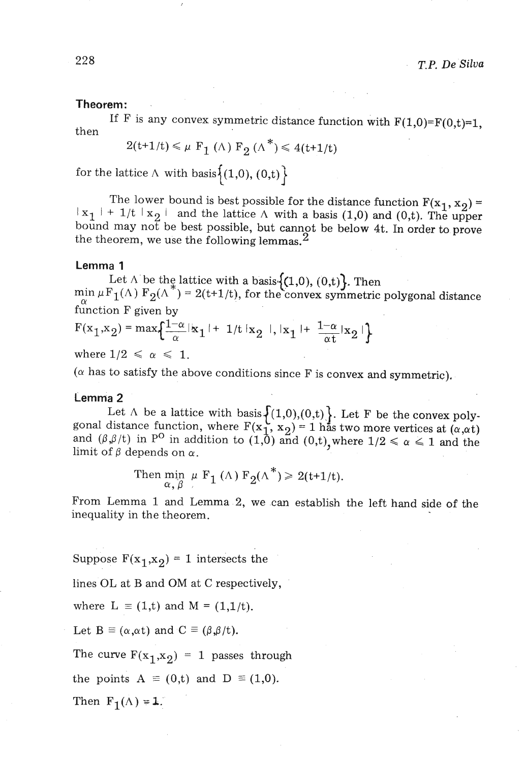### **Theorem:**

If F is any convex symmetric distance function with  $F(1,0)=F(0,t)=1$ , then

$$
2(t+1/t) \leq \mu \mathbf{F}_1(\Lambda) \mathbf{F}_2(\Lambda^*) \leq 4(t+1/t)
$$

for the lattice  $\Lambda$  with basis  $\{(1,0), (0,t)\}\$ 

The lower bound is best possible for the distance function  $F(x_1, x_2) =$  $X_1$   $\uparrow$  + 1/t  $X_2$   $\uparrow$  and the lattice  $\Lambda$  with a basis (1,0) and (0,t). The upper bound may not be best possible, but cannot be below 4t. In order to prove the theorem, we use the following lemmas.<sup>2</sup>

#### **Lemma 1**

Let  $\Lambda$  be the lattice with a basis  $\{(1,0), (0,t)\}$ . Then min  $\mu F_1(\Lambda) F_2(\Lambda^*) = 2(t+1/t)$ , for the convex symmetric polygonal distance function  $F$  given by

$$
F(x_1, x_2) = \max\left\{\frac{1-\alpha}{\alpha} |x_1| + 1/t |x_2|, |x_1| + \frac{1-\alpha}{\alpha t} |x_2|\right\}
$$

where  $1/2 \leq \alpha \leq 1$ .

 $(\alpha$  has to satisfy the above conditions since F is convex and symmetric).

## **Lemma 2**

Let  $\Lambda$  be a lattice with basis  $\{(1,0),(0,t)\}$ . Let F be the convex poly- gonal distance function, where  $F(x_1, x_2) = 1$  has two more vertices at  $(\alpha, \alpha t)$ and  $(\beta, \beta/t)$  in P<sup>O</sup> in addition to  $(1,0)$  and  $(0,t)$ , where  $1/2 \le \alpha \le 1$  and the limit of  $\beta$  depends on  $\alpha$ .

Then 
$$
\min_{\alpha, \beta} \mu F_1(\Lambda) F_2(\Lambda^*) \ge 2(t+1/t).
$$

From Lemma 1 and Lemma 2, we can establish the left hand side of the inequality in the theorem.

Suppose  $F(x_1,x_2) = 1$  intersects the

lines OL at B and OM at C respectively,

where  $L \equiv (1,t)$  and  $M = (1,1/t)$ .

Let  $B \equiv (\alpha, \alpha t)$  and  $C \equiv (\beta, \beta/t)$ .

The curve  $F(x_1,x_2) = 1$  passes through

the points  $A \equiv (0,t)$  and  $D \equiv (1,0)$ .

Then  $F_1(A) = 1$ .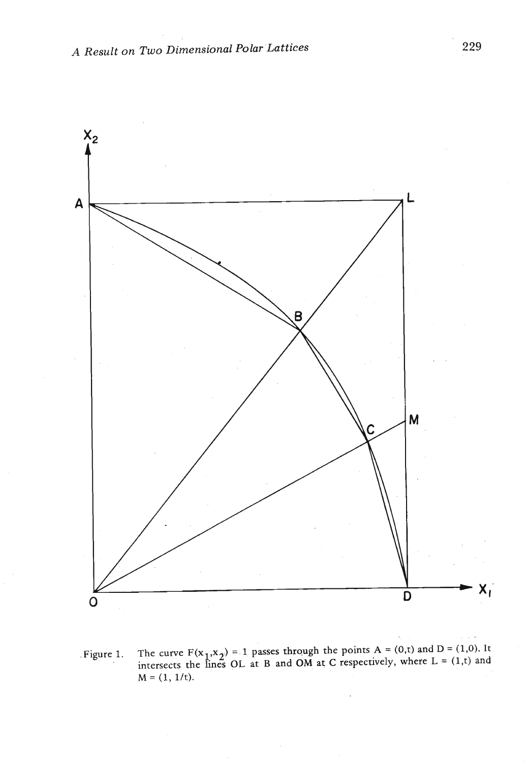

**. Figure 1.** The curve  $F(x_1, x_2) = 1$  passes through the points  $A = (0,t)$  and  $D = (1,0)$ . It. **intersects the lines OL at B and OM at C respectively, where L** = **(1,t) and**   $M = (1, 1/t).$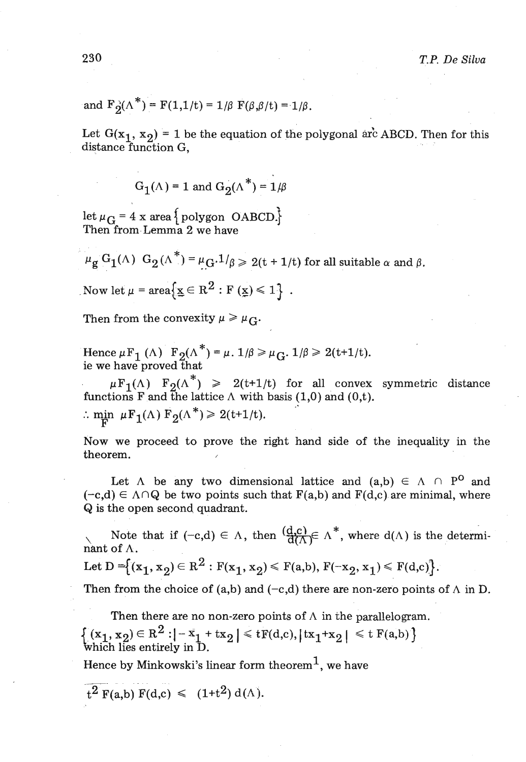and 
$$
F_2(\Lambda^*) = F(1,1/t) = 1/\beta F(\beta,\beta/t) = 1/\beta
$$
.

Let  $G(x_1, x_2) = 1$  be the equation of the polygonal arc ABCD. Then for this distance function G,

$$
G_1(\Lambda) = 1 \text{ and } G_2(\Lambda^*) = 1/\beta
$$

let  $\mu_G = 4$  x area {polygon **OABCD**} Then from Lemma 2 we have

$$
\mu_{\mathbf{g}} G_1(\Lambda) G_2(\Lambda^*) = \mu_G \cdot 1/\beta \ge 2(t + 1/t) \text{ for all suitable } \alpha \text{ and } \beta.
$$

Now let 
$$
\mu = \text{area} \{ \underline{x} \in \mathbb{R}^2 : F(\underline{x}) \leq 1 \}
$$
.

Then from the convexity  $\mu \ge \mu_{C}$ .

Hence  $\mu F_1(\Lambda)$   $F_2(\Lambda^*) = \mu$ .  $1/\beta \ge \mu_G$ .  $1/\beta \ge 2(t+1/t)$ . ie we have proved that

 $\mu F_1(\Lambda)$   $F_2(\Lambda^*)$   $\geq 2(t+1/t)$  for all convex symmetric distance functions F and the lattice  $\Lambda$  with basis (1,0) and (0,t). : min  $\mu F_1(\Lambda) F_2(\Lambda^*) \geq 2(t+1/t).$ 

Now we proceed to prove the right hand side of the inequality in the theorem. ,

Let  $\Lambda$  be any two dimensional lattice and  $(a,b) \in \Lambda \cap P^0$  and  $(-c,d) \in \Lambda \cap Q$  be two points such that  $F(a,b)$  and  $F(d,c)$  are minimal, where Q is the open second quadrant.

Note that if  $(-c,d) \in \Lambda$ , then  $\left(\frac{d,c}{d(\Lambda)} \in \Lambda^*$ , where  $d(\Lambda)$  is the determinant of  $\Lambda$ .

Let D = {
$$
(x_1, x_2) \in R^2 : F(x_1, x_2) \le F(a, b), F(-x_2, x_1) \le F(d, c)
$$
 }.

Then from the choice of (a,b) and  $(-c,d)$  there are non-zero points of  $\Lambda$  in D.

Then there are no non-zero points of  $\Lambda$  in the parallelogram.  $\{(x_1, x_2) \in R^2 : |-x_1 + tx_2| \le tF(d,c), |tx_1+x_2| \le t F(a,b)\}\$ which lies entirely in D. Hence by Minkowski's linear form theorem<sup>1</sup>, we have

$$
t^2 F(a,b) F(d,c) \leq (1+t^2) d(\Lambda).
$$